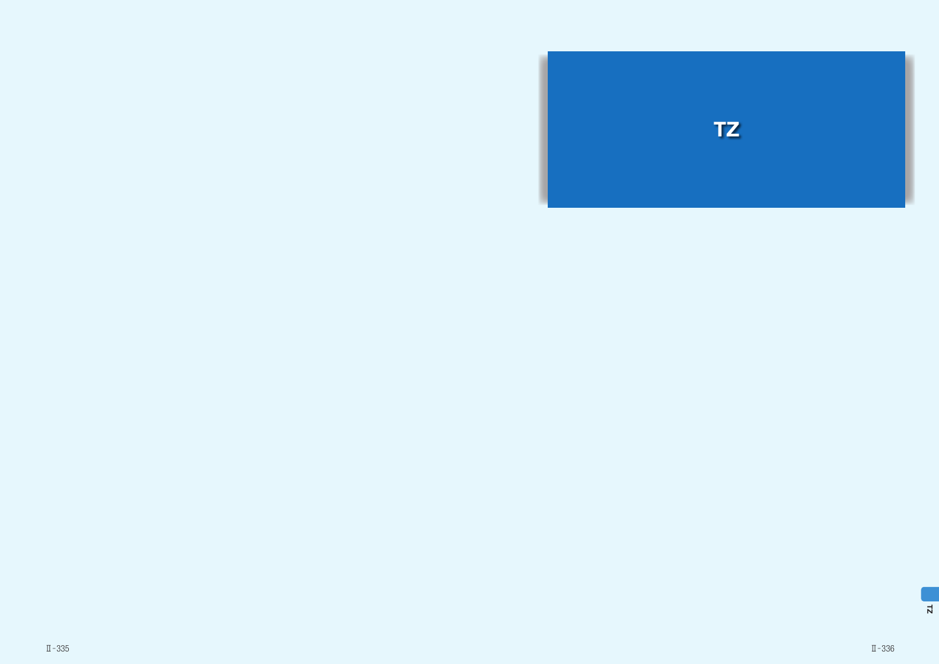



### Ⅱ̶335 Ⅱ̶336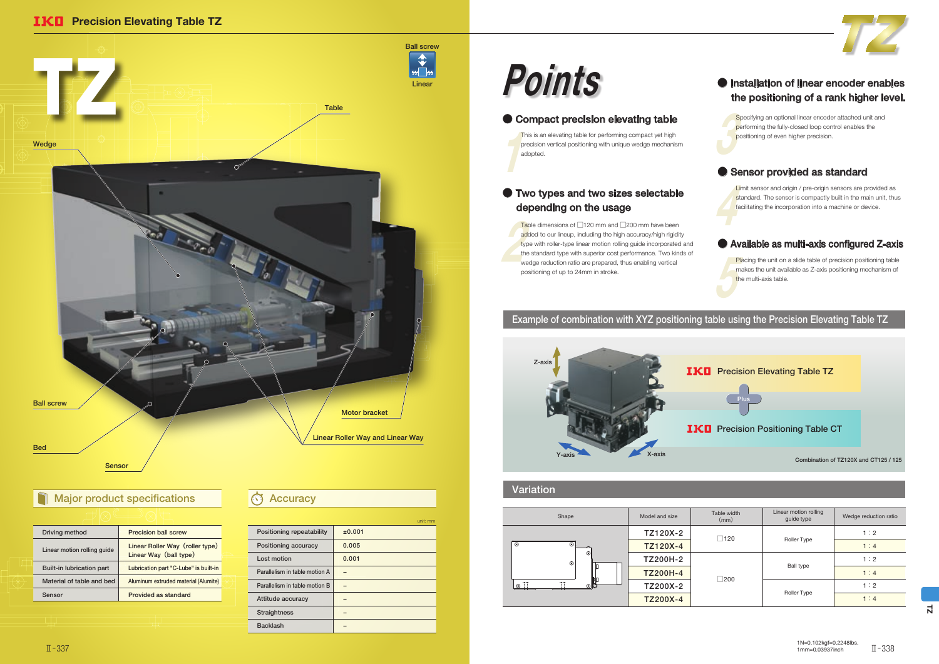$\frac{1}{2}$ This is an elevating table for performing compact yet high precision vertical positioning with unique wedge mechanism adopted.

Table<br>add<br>type<br>the : Table dimensions of □120 mm and □200 mm have been added to our lineup, including the high accuracy/high rigidity type with roller-type linear motion rolling guide incorporated and the standard type with superior cost performance. Two kinds of wedge reduction ratio are prepared, thus enabling vertical positioning of up to 24mm in stroke.



Spe<br>per<br>pos Specifying an optional linear encoder attached unit and performing the fully-closed loop control enables the positioning of even higher precision.

### ● Sensor provided as standard

# Points

### ● Compact precision elevating table

Lim<br>sta<br>fac Limit sensor and origin / pre-origin sensors are provided as standard. The sensor is compactly built in the main unit, thus facilitating the incorporation into a machine or device.

Pla<br>
The<br>
the Placing the unit on a slide table of precision positioning table makes the unit available as Z-axis positioning mechanism of the multi-axis table.

|                               | unit: mm |
|-------------------------------|----------|
| Positioning repeatability     | ±0.001   |
| Positioning accuracy          | 0.005    |
| Lost motion                   | 0.001    |
| Parallelism in table motion A |          |
| Parallelism in table motion B |          |
| Attitude accuracy             |          |
| <b>Straightness</b>           |          |
| <b>Backlash</b>               |          |
|                               |          |

| Driving method                   | <b>Precision ball screw</b>                               |
|----------------------------------|-----------------------------------------------------------|
| Linear motion rolling quide      | Linear Roller Way (roller type)<br>Linear Way (ball type) |
| <b>Built-in lubrication part</b> | Lubrication part "C-Lube" is built-in                     |
| Material of table and bed        | Aluminum extruded material (Alumite)                      |
| Sensor                           | Provided as standard                                      |

### **IKD** Precision Elevating Table TZ



# Major product specifications **Accuracy**

### ● Available as multi-axis configured Z-axis

### Example of combination with XYZ positioning table using the Precision Elevating Table TZ

### Variation





| Shape              | Model and size  | Table width<br>(mm) | Linear motion rolling<br>guide type | Wedge reduction ratio |
|--------------------|-----------------|---------------------|-------------------------------------|-----------------------|
|                    | TZ120X-2        | $\square$ 120       |                                     | 1:2                   |
| ி                  | TZ120X-4        |                     | Roller Type                         | 1:4                   |
| ⊛ା<br>$^{\circ}$   | TZ200H-2        | $\square$ 200       | <b>Ball type</b><br>Roller Type     | 1:2                   |
|                    | <b>TZ200H-4</b> |                     |                                     | 1:4                   |
| ⊚‼<br>$\mathbb{H}$ | TZ200X-2        |                     |                                     | 1:2                   |
|                    | TZ200X-4        |                     |                                     | 1:4                   |



### ● Two types and two sizes selectable depending on the usage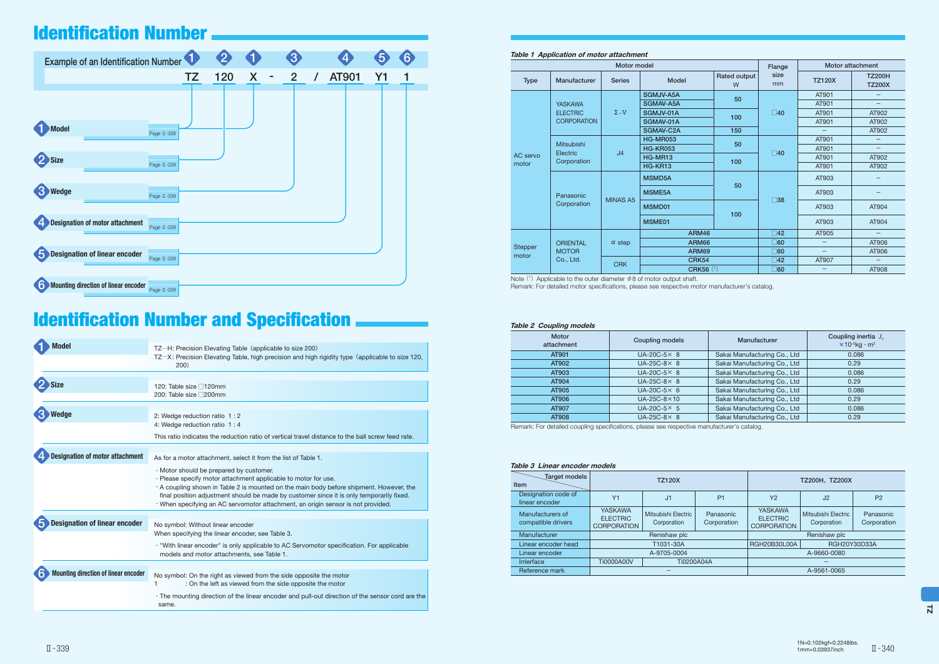#### Table 1 Application of motor attachment

| Motor model             |                                              |                 |                  |                   | Flange       | Motor attachment         |                                |
|-------------------------|----------------------------------------------|-----------------|------------------|-------------------|--------------|--------------------------|--------------------------------|
| <b>Type</b>             | Manufacturer                                 | <b>Series</b>   | <b>Model</b>     | Rated output<br>W | size<br>mm   | <b>TZ120X</b>            | <b>TZ200H</b><br><b>TZ200X</b> |
|                         |                                              |                 | <b>SGMJV-A5A</b> | 50                |              | AT901                    |                                |
|                         | <b>YASKAWA</b>                               |                 | SGMAV-A5A        |                   |              | AT901                    |                                |
|                         | <b>ELECTRIC</b>                              | $\Sigma - V$    | SGMJV-01A        | 100               | $\square$ 40 | AT901                    | AT902                          |
|                         | <b>CORPORATION</b>                           |                 | SGMAV-01A        |                   |              | AT901                    | AT902                          |
|                         |                                              |                 | SGMAV-C2A        | 150               |              |                          | AT902                          |
|                         | <b>Mitsubishi</b><br>Electric<br>Corporation |                 | <b>HG-MR053</b>  | 50                | $\square$ 40 | AT901                    | —                              |
|                         |                                              | J <sub>4</sub>  | <b>HG-KR053</b>  |                   |              | AT901                    | $\overline{\phantom{0}}$       |
| AC servo                |                                              |                 | HG-MR13          | 100               |              | AT901                    | AT902                          |
| motor                   |                                              |                 | HG-KR13          |                   |              | AT901                    | AT902                          |
|                         | Panasonic                                    | <b>MINAS A5</b> | <b>MSMD5A</b>    | 50                | $\square$ 38 | AT903                    |                                |
|                         |                                              |                 | <b>MSME5A</b>    |                   |              | AT903                    |                                |
|                         | Corporation                                  |                 | MSMD01           | 100               |              | AT903                    | AT904                          |
|                         |                                              |                 | MSME01           |                   |              | AT903                    | AT904                          |
|                         |                                              |                 | <b>ARM46</b>     |                   | $\square$ 42 | AT905                    |                                |
|                         | <b>ORIENTAL</b>                              | $\alpha$ step   | <b>ARM66</b>     |                   | $\Box$ 60    | —                        | AT906                          |
| <b>Stepper</b><br>motor | <b>MOTOR</b>                                 |                 | ARM69            |                   | $\square$ 60 | $\overline{\phantom{0}}$ | AT906                          |
|                         | Co., Ltd.                                    | <b>CRK</b>      | <b>CRK54</b>     |                   | $\square$ 42 | AT907                    | —                              |
|                         |                                              |                 | <b>CRK56 (1)</b> |                   | $\square$ 60 |                          | AT908                          |

Note (1) Applicable to the outer diameter  $\phi$ 8 of motor output shaft. Remark: For detailed motor specifications, please see respective motor manufacturer's catalog.

| Example of an Identification Number              |                       |     |   | 3                   |                                | 6  |
|--------------------------------------------------|-----------------------|-----|---|---------------------|--------------------------------|----|
|                                                  | <b>TZ</b>             | 120 | X | $\overline{2}$<br>÷ | <b>AT901</b><br>$\overline{I}$ | Υ1 |
|                                                  |                       |     |   |                     |                                |    |
| Model                                            | Page II-339           |     |   |                     |                                |    |
| Size                                             | Page II-339           |     |   |                     |                                |    |
| <b>Wedge</b>                                     | Page II-339           |     |   |                     |                                |    |
| <b>Designation of motor attachment</b>           | i kale<br>Page II-339 |     |   |                     |                                |    |
| <b>Designation of linear encoder</b><br>5        | Page II-339           |     |   |                     |                                |    |
| <b>Mounting direction of linear encoder</b><br>6 | Page II-339           |     |   |                     |                                |    |

# Identification Number and Specification **Number 2 Coupling models**

| Model                                       | $TZ \cdot \cdot H$ : Precision Elevating Table (applicable to size 200)<br>TZX: Precision Elevating Table, high precision and high rigidity type (applicable to size 120,<br>200)                                                                                                                                                                                                    |  |  |  |  |
|---------------------------------------------|--------------------------------------------------------------------------------------------------------------------------------------------------------------------------------------------------------------------------------------------------------------------------------------------------------------------------------------------------------------------------------------|--|--|--|--|
| Size                                        | 120: Table size □120mm<br>200: Table size □ 200mm                                                                                                                                                                                                                                                                                                                                    |  |  |  |  |
| Wedge                                       | 2: Wedge reduction ratio 1:2<br>4: Wedge reduction ratio 1:4                                                                                                                                                                                                                                                                                                                         |  |  |  |  |
|                                             | This ratio indicates the reduction ratio of vertical travel distance to the ball screw feed rate.                                                                                                                                                                                                                                                                                    |  |  |  |  |
| <b>Designation of motor attachment</b>      | As for a motor attachment, select it from the list of Table 1.                                                                                                                                                                                                                                                                                                                       |  |  |  |  |
|                                             | · Motor should be prepared by customer.<br>· Please specify motor attachment applicable to motor for use.<br>. A coupling shown in Table 2 is mounted on the main body before shipment. However, the<br>final position adjustment should be made by customer since it is only temporarily fixed.<br>· When specifying an AC servomotor attachment, an origin sensor is not provided. |  |  |  |  |
| <b>Designation of linear encoder</b>        | No symbol: Without linear encoder                                                                                                                                                                                                                                                                                                                                                    |  |  |  |  |
|                                             | When specifying the linear encoder, see Table 3.                                                                                                                                                                                                                                                                                                                                     |  |  |  |  |
|                                             | . "With linear encoder" is only applicable to AC Servomotor specification. For applicable<br>models and motor attachments, see Table 1.                                                                                                                                                                                                                                              |  |  |  |  |
| <b>Mounting direction of linear encoder</b> | No symbol: On the right as viewed from the side opposite the motor                                                                                                                                                                                                                                                                                                                   |  |  |  |  |
|                                             | : On the left as viewed from the side opposite the motor                                                                                                                                                                                                                                                                                                                             |  |  |  |  |
|                                             | · The mounting direction of the linear encoder and pull-out direction of the sensor cord are the<br>same.                                                                                                                                                                                                                                                                            |  |  |  |  |

| <b>Motor</b><br>attachment | Coupling models     | Manufacturer                 | Coupling inertia $J_c$<br>$\times$ 10 <sup>-5</sup> kg · m <sup>2</sup> |
|----------------------------|---------------------|------------------------------|-------------------------------------------------------------------------|
| AT901                      | $UA-20C-5\times 8$  | Sakai Manufacturing Co., Ltd | 0.086                                                                   |
| AT902                      | $UA-25C-8\times 8$  | Sakai Manufacturing Co., Ltd | 0.29                                                                    |
| AT903                      | $UA-20C-5\times 8$  | Sakai Manufacturing Co., Ltd | 0.086                                                                   |
| AT904                      | $UA-25C-8\times 8$  | Sakai Manufacturing Co., Ltd | 0.29                                                                    |
| AT905                      | $UA-20C-5\times 6$  | Sakai Manufacturing Co., Ltd | 0.086                                                                   |
| AT906                      | $UA-25C-8\times 10$ | Sakai Manufacturing Co., Ltd | 0.29                                                                    |
| AT907                      | $UA-20C-5\times 5$  | Sakai Manufacturing Co., Ltd | 0.086                                                                   |
| AT908                      | $UA-25C-8\times 8$  | Sakai Manufacturing Co., Ltd | 0.29                                                                    |

Remark: For detailed coupling specifications, please see respective manufacturer's catalog.

#### Table 3 Linear encoder models

| Target models<br>Item                  | <b>TZ120X</b>                                           |                                    |                          | <b>TZ200H、TZ200X</b>                                    |                                    |                          |
|----------------------------------------|---------------------------------------------------------|------------------------------------|--------------------------|---------------------------------------------------------|------------------------------------|--------------------------|
| Designation code of<br>linear encoder  | Y <sub>1</sub>                                          | J1                                 | P <sub>1</sub>           | Y <sub>2</sub>                                          | J <sub>2</sub>                     | P <sub>2</sub>           |
| Manufacturers of<br>compatible drivers | <b>YASKAWA</b><br><b>ELECTRIC</b><br><b>CORPORATION</b> | Mitsubishi Electric<br>Corporation | Panasonic<br>Corporation | <b>YASKAWA</b><br><b>ELECTRIC</b><br><b>CORPORATION</b> | Mitsubishi Electric<br>Corporation | Panasonic<br>Corporation |
| Manufacturer                           |                                                         | Renishaw plc                       |                          |                                                         | Renishaw plc                       |                          |
| Linear encoder head                    |                                                         | T1031-30A                          |                          | RGH20B30L00A                                            | RGH20Y30D33A                       |                          |
| Linear encoder                         | A-9705-0004                                             |                                    |                          |                                                         | A-9660-0080                        |                          |
| Interface                              | <b>Ti0000A00V</b><br><b>Ti0200A04A</b>                  |                                    |                          |                                                         |                                    |                          |
| Reference mark                         |                                                         |                                    |                          |                                                         | A-9561-0065                        |                          |

# Identification Number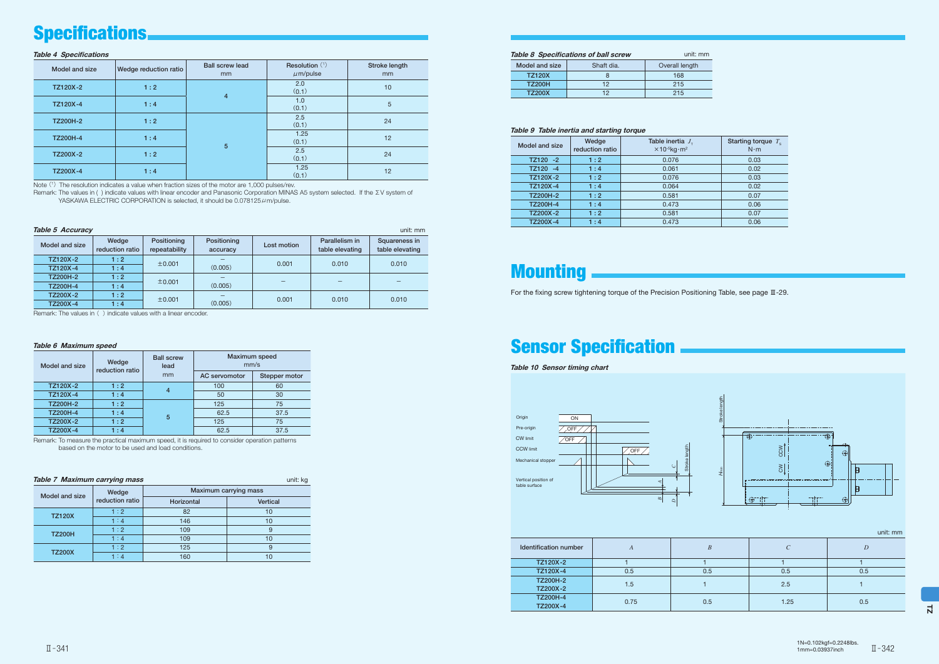$\overline{z}$ 

#### Table 4 Specifications

| Model and size  | Wedge reduction ratio | <b>Ball screw lead</b><br>mm | Resolution (1)<br>$\mu$ m/pulse | Stroke length<br>mm |
|-----------------|-----------------------|------------------------------|---------------------------------|---------------------|
| TZ120X-2        | 1:2                   | $\overline{4}$               | 2.0<br>(0.1)                    | 10                  |
| TZ120X-4        | 1:4                   |                              | 1.0<br>(0.1)                    | 5                   |
| <b>TZ200H-2</b> | 1:2                   |                              | 2.5<br>(0.1)                    | 24                  |
| <b>TZ200H-4</b> | 1:4                   | 5                            | 1.25<br>(0.1)                   | 12                  |
| TZ200X-2        | 1:2                   |                              | 2.5<br>(0.1)                    | 24                  |
| TZ200X-4        | 1:4                   |                              | 1.25<br>(0.1)                   | 12                  |

Note (1) The resolution indicates a value when fraction sizes of the motor are 1,000 pulses/rev.

Remark: The values in ( ) indicate values with linear encoder and Panasonic Corporation MINAS A5 system selected. If the ΣV system of YASKAWA ELECTRIC CORPORATION is selected, it should be  $0.078125 \mu$ m/pulse.

| <b>Table 5 Accuracy</b><br>unit: mm |                          |                              |                         |             |                                   |                                  |  |
|-------------------------------------|--------------------------|------------------------------|-------------------------|-------------|-----------------------------------|----------------------------------|--|
| Model and size                      | Wedge<br>reduction ratio | Positioning<br>repeatability | Positioning<br>accuracy | Lost motion | Parallelism in<br>table elevating | Squareness in<br>table elevating |  |
| TZ120X-2                            | $1:2^{1}$                | ±0.001                       |                         | 0.001       | 0.010                             | 0.010                            |  |
| TZ120X-4                            | 1:4                      |                              | (0.005)                 |             |                                   |                                  |  |
| TZ200H-2                            | 1:2                      | $\pm 0.001$                  |                         |             |                                   |                                  |  |
| <b>TZ200H-4</b>                     | 1:4                      |                              | (0.005)                 |             |                                   |                                  |  |
| TZ200X-2                            | 1:2                      | ±0.001                       |                         |             |                                   | 0.010                            |  |
| TZ200X-4                            | 1 : 4                    |                              | (0.005)                 | 0.001       | 0.010                             |                                  |  |

Remark: The values in ( ) indicate values with a linear encoder.

#### Table 6 Maximum speed

| Model and size |                 | Wedge<br>reduction ratio | <b>Ball screw</b><br>lead | <b>Maximum</b> speed<br>mm/s |               |  |
|----------------|-----------------|--------------------------|---------------------------|------------------------------|---------------|--|
|                |                 |                          | mm                        | AC servomotor                | Stepper motor |  |
|                | TZ120X-2        | 1:2                      |                           | 100                          | 60            |  |
|                | TZ120X-4        | 1:4                      | 4                         | 50                           | 30            |  |
|                | <b>TZ200H-2</b> | 1:2                      |                           | 125                          | 75            |  |
|                | <b>TZ200H-4</b> | 1:4                      |                           | 62.5                         | 37.5          |  |
|                | TZ200X-2        | 1:2                      | 5                         | 125                          | 75            |  |
|                | TZ200X-4        | 1:4                      |                           | 62.5                         | 37.5          |  |

Remark: To measure the practical maximum speed, it is required to consider operation patterns based on the motor to be used and load conditions.

#### Table 9 Table inertia and starting torque

| $100000$ and $100100$ and $0.10000$ and $0.0000$ |                          |                                                                         |                                     |  |  |  |
|--------------------------------------------------|--------------------------|-------------------------------------------------------------------------|-------------------------------------|--|--|--|
| Model and size                                   | Wedge<br>reduction ratio | Table inertia $J_{\tau}$<br>$\times$ 10- <sup>5</sup> kg·m <sup>2</sup> | Starting torque $Te$<br>$N \cdot m$ |  |  |  |
| $TZ120 -2$                                       | $1:2^{-}$                | 0.076                                                                   | 0.03                                |  |  |  |
| TZ120 -4                                         | 1:4                      | 0.061                                                                   | 0.02                                |  |  |  |
| TZ120X-2                                         | 1:2                      | 0.076                                                                   | 0.03                                |  |  |  |
| TZ120X-4                                         | 1:4                      | 0.064                                                                   | 0.02                                |  |  |  |
| <b>TZ200H-2</b>                                  | 1:2                      | 0.581                                                                   | 0.07                                |  |  |  |
| <b>TZ200H-4</b>                                  | 1:4                      | 0.473                                                                   | 0.06                                |  |  |  |
| TZ200X-2                                         | 1:2                      | 0.581                                                                   | 0.07                                |  |  |  |
| TZ200X-4                                         | 1:4                      | 0.473                                                                   | 0.06                                |  |  |  |

# **Mounting**

Table 10 Sensor timing chart

| Identification number       | $\boldsymbol{A}$ | R   |      | $\overline{D}$ |
|-----------------------------|------------------|-----|------|----------------|
| TZ120X-2                    |                  |     |      |                |
| TZ120X-4                    | 0.5              | 0.5 | 0.5  | 0.5            |
| <b>TZ200H-2</b><br>TZ200X-2 | 1.5              |     | 2.5  |                |
| <b>TZ200H-4</b><br>TZ200X-4 | 0.75             | 0.5 | 1.25 | 0.5            |







|  | Table 8 Specifications of ball screw | unit: mm |
|--|--------------------------------------|----------|
|  |                                      |          |

| Model and size | Shaft dia. | Overall length |
|----------------|------------|----------------|
| <b>TZ120X</b>  |            | 168            |
| <b>TZ200H</b>  | 12         | 215            |
| <b>TZ200X</b>  | 19         | 215            |

| unit: kg<br><b>Table 7 Maximum carrying mass</b> |                 |            |                       |  |  |  |
|--------------------------------------------------|-----------------|------------|-----------------------|--|--|--|
| Model and size                                   | Wedge           |            | Maximum carrying mass |  |  |  |
|                                                  | reduction ratio | Horizontal | <b>Vertical</b>       |  |  |  |
| <b>TZ120X</b>                                    | 1:2             | 82         | 10                    |  |  |  |
|                                                  | 1:4             | 146        | 10                    |  |  |  |
| <b>TZ200H</b>                                    | 1:2             | 109        |                       |  |  |  |
|                                                  | 1:4             | 109        | 10                    |  |  |  |
| <b>TZ200X</b>                                    | 1:2             | 125        |                       |  |  |  |
|                                                  | 1:4             | 160        |                       |  |  |  |

# Specifications

# Sensor Specification

For the fixing screw tightening torque of the Precision Positioning Table, see page Ⅲ-29.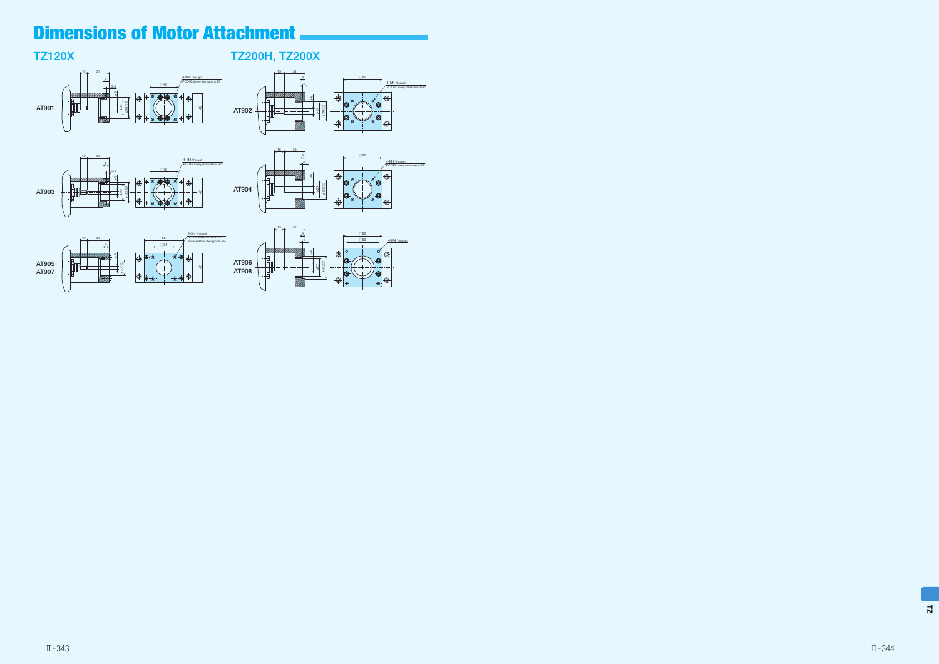# TZ120X







φ30+0.04 +0.02

TZ200H, TZ200X

╢╫═╘

 $15$  33

φ27 φ8

4-M4 Through PCD46, Evenly distributed at 90°

l ®

4

╪╪╫╌┥

├



8 **□60** 

# Dimensions of Motor Attachment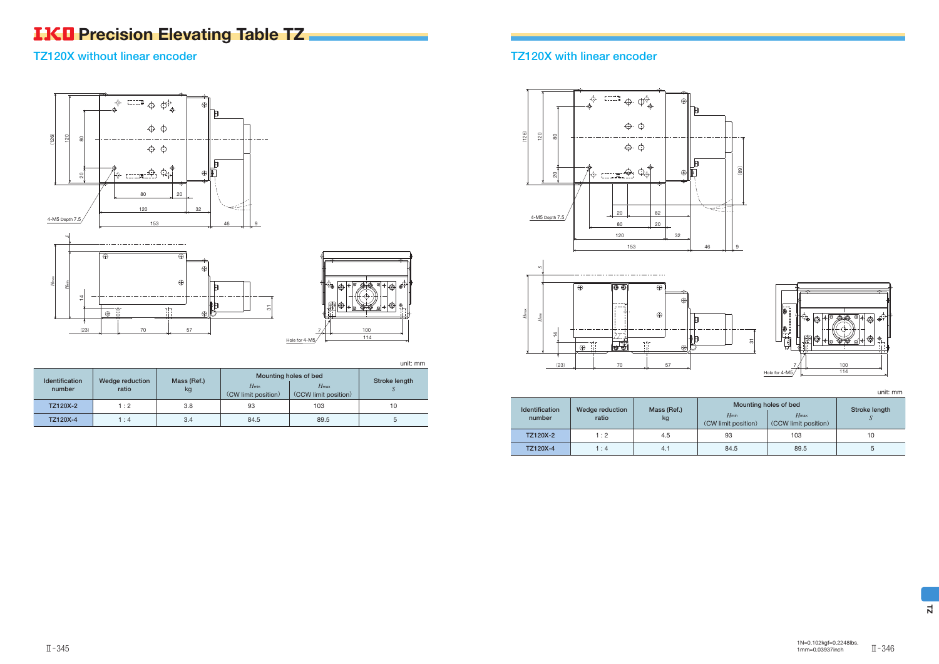# **IKO** Precision Elevating Table TZ.

### TZ120X without linear encoder

unit: mm

| <b>Identification</b><br>number | Wedge reduction<br>ratio | Mass (Ref.)<br>kg | $H_{min}$<br>(CW limit position) | Mounting holes of bed<br>$H_{\text{max}}$<br>(CCW limit position) | Stroke length |
|---------------------------------|--------------------------|-------------------|----------------------------------|-------------------------------------------------------------------|---------------|
| TZ120X-2                        | 1:2                      | 3.8               | 93                               | 103                                                               | 10            |
| TZ120X-4                        | 1:4                      | 3.4               | 84.5                             | 89.5                                                              | $\mathbf{b}$  |



# TZ120X with linear encoder

#### unit: mm

|          | <b>Identification</b><br>Wedge reduction | Mass (Ref.) | Mounting holes of bed            | Stroke length                            |    |
|----------|------------------------------------------|-------------|----------------------------------|------------------------------------------|----|
| number   | ratio                                    | kg          | $H_{min}$<br>(CW limit position) | $H_{\text{max}}$<br>(CCW limit position) |    |
| TZ120X-2 | 1:2                                      | 4.5         | 93                               | 103                                      | 10 |
| TZ120X-4 | 1:4                                      | 4.1         | 84.5                             | 89.5                                     | э  |

7